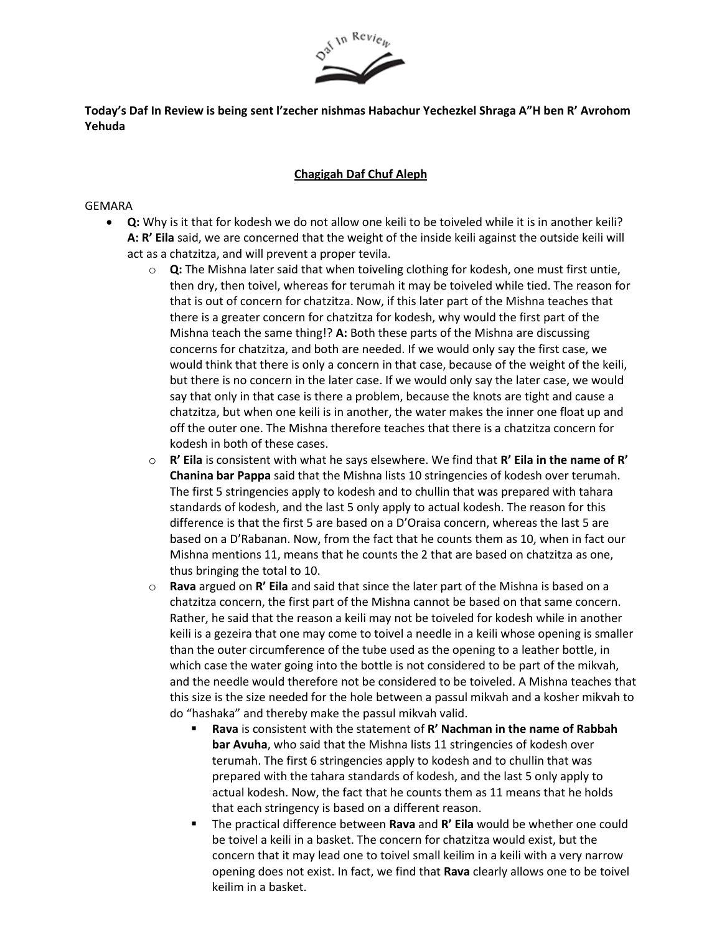

**Today's Daf In Review is being sent l'zecher nishmas Habachur Yechezkel Shraga A"H ben R' Avrohom Yehuda**

## **Chagigah Daf Chuf Aleph**

## GEMARA

- **Q:** Why is it that for kodesh we do not allow one keili to be toiveled while it is in another keili? **A: R' Eila** said, we are concerned that the weight of the inside keili against the outside keili will act as a chatzitza, and will prevent a proper tevila.
	- o **Q:** The Mishna later said that when toiveling clothing for kodesh, one must first untie, then dry, then toivel, whereas for terumah it may be toiveled while tied. The reason for that is out of concern for chatzitza. Now, if this later part of the Mishna teaches that there is a greater concern for chatzitza for kodesh, why would the first part of the Mishna teach the same thing!? **A:** Both these parts of the Mishna are discussing concerns for chatzitza, and both are needed. If we would only say the first case, we would think that there is only a concern in that case, because of the weight of the keili, but there is no concern in the later case. If we would only say the later case, we would say that only in that case is there a problem, because the knots are tight and cause a chatzitza, but when one keili is in another, the water makes the inner one float up and off the outer one. The Mishna therefore teaches that there is a chatzitza concern for kodesh in both of these cases.
	- o **R' Eila** is consistent with what he says elsewhere. We find that **R' Eila in the name of R' Chanina bar Pappa** said that the Mishna lists 10 stringencies of kodesh over terumah. The first 5 stringencies apply to kodesh and to chullin that was prepared with tahara standards of kodesh, and the last 5 only apply to actual kodesh. The reason for this difference is that the first 5 are based on a D'Oraisa concern, whereas the last 5 are based on a D'Rabanan. Now, from the fact that he counts them as 10, when in fact our Mishna mentions 11, means that he counts the 2 that are based on chatzitza as one, thus bringing the total to 10.
	- o **Rava** argued on **R' Eila** and said that since the later part of the Mishna is based on a chatzitza concern, the first part of the Mishna cannot be based on that same concern. Rather, he said that the reason a keili may not be toiveled for kodesh while in another keili is a gezeira that one may come to toivel a needle in a keili whose opening is smaller than the outer circumference of the tube used as the opening to a leather bottle, in which case the water going into the bottle is not considered to be part of the mikvah, and the needle would therefore not be considered to be toiveled. A Mishna teaches that this size is the size needed for the hole between a passul mikvah and a kosher mikvah to do "hashaka" and thereby make the passul mikvah valid.
		- **Rava** is consistent with the statement of **R' Nachman in the name of Rabbah bar Avuha**, who said that the Mishna lists 11 stringencies of kodesh over terumah. The first 6 stringencies apply to kodesh and to chullin that was prepared with the tahara standards of kodesh, and the last 5 only apply to actual kodesh. Now, the fact that he counts them as 11 means that he holds that each stringency is based on a different reason.
		- The practical difference between **Rava** and **R' Eila** would be whether one could be toivel a keili in a basket. The concern for chatzitza would exist, but the concern that it may lead one to toivel small keilim in a keili with a very narrow opening does not exist. In fact, we find that **Rava** clearly allows one to be toivel keilim in a basket.